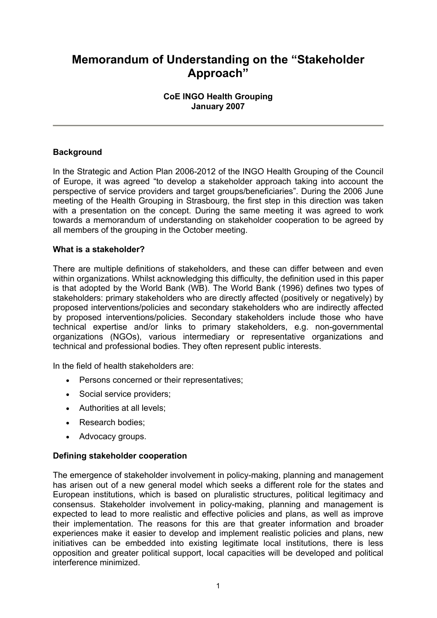# **Memorandum of Understanding on the "Stakeholder Approach"**

# **CoE INGO Health Grouping January 2007**

# **Background**

In the Strategic and Action Plan 2006-2012 of the INGO Health Grouping of the Council of Europe, it was agreed "to develop a stakeholder approach taking into account the perspective of service providers and target groups/beneficiaries". During the 2006 June meeting of the Health Grouping in Strasbourg, the first step in this direction was taken with a presentation on the concept. During the same meeting it was agreed to work towards a memorandum of understanding on stakeholder cooperation to be agreed by all members of the grouping in the October meeting.

## **What is a stakeholder?**

There are multiple definitions of stakeholders, and these can differ between and even within organizations. Whilst acknowledging this difficulty, the definition used in this paper is that adopted by the World Bank (WB). The World Bank (1996) defines two types of stakeholders: primary stakeholders who are directly affected (positively or negatively) by proposed interventions/policies and secondary stakeholders who are indirectly affected by proposed interventions/policies. Secondary stakeholders include those who have technical expertise and/or links to primary stakeholders, e.g. non-governmental organizations (NGOs), various intermediary or representative organizations and technical and professional bodies. They often represent public interests.

In the field of health stakeholders are:

- Persons concerned or their representatives;
- Social service providers;
- Authorities at all levels;
- Research bodies:
- Advocacy groups.

# **Defining stakeholder cooperation**

The emergence of stakeholder involvement in policy-making, planning and management has arisen out of a new general model which seeks a different role for the states and European institutions, which is based on pluralistic structures, political legitimacy and consensus. Stakeholder involvement in policy-making, planning and management is expected to lead to more realistic and effective policies and plans, as well as improve their implementation. The reasons for this are that greater information and broader experiences make it easier to develop and implement realistic policies and plans, new initiatives can be embedded into existing legitimate local institutions, there is less opposition and greater political support, local capacities will be developed and political interference minimized.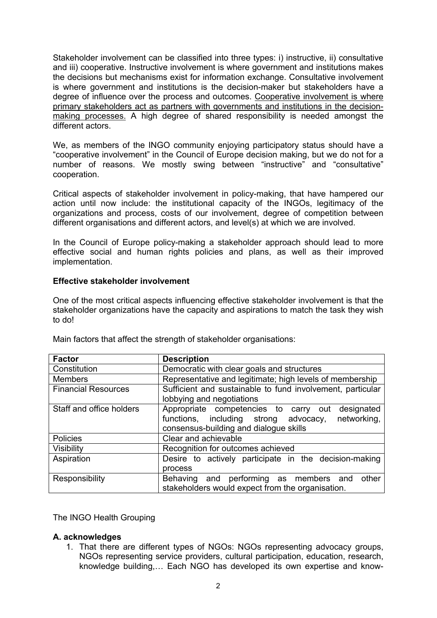Stakeholder involvement can be classified into three types: i) instructive, ii) consultative and iii) cooperative. Instructive involvement is where government and institutions makes the decisions but mechanisms exist for information exchange. Consultative involvement is where government and institutions is the decision-maker but stakeholders have a degree of influence over the process and outcomes. Cooperative involvement is where primary stakeholders act as partners with governments and institutions in the decisionmaking processes. A high degree of shared responsibility is needed amongst the different actors.

We, as members of the INGO community enjoying participatory status should have a "cooperative involvement" in the Council of Europe decision making, but we do not for a number of reasons. We mostly swing between "instructive" and "consultative" cooperation.

Critical aspects of stakeholder involvement in policy-making, that have hampered our action until now include: the institutional capacity of the INGOs, legitimacy of the organizations and process, costs of our involvement, degree of competition between different organisations and different actors, and level(s) at which we are involved.

In the Council of Europe policy-making a stakeholder approach should lead to more effective social and human rights policies and plans, as well as their improved implementation.

## **Effective stakeholder involvement**

One of the most critical aspects influencing effective stakeholder involvement is that the stakeholder organizations have the capacity and aspirations to match the task they wish to do!

| <b>Factor</b>              | <b>Description</b>                                         |
|----------------------------|------------------------------------------------------------|
| Constitution               | Democratic with clear goals and structures                 |
| <b>Members</b>             | Representative and legitimate; high levels of membership   |
| <b>Financial Resources</b> | Sufficient and sustainable to fund involvement, particular |
|                            | lobbying and negotiations                                  |
| Staff and office holders   | designated<br>Appropriate competencies to carry out        |
|                            | networking,<br>functions, including strong advocacy,       |
|                            | consensus-building and dialogue skills                     |
| <b>Policies</b>            | Clear and achievable                                       |
| Visibility                 | Recognition for outcomes achieved                          |
| Aspiration                 | Desire to actively participate in the decision-making      |
|                            | process                                                    |
| Responsibility             | Behaving and performing as members<br>other<br>and         |
|                            | stakeholders would expect from the organisation.           |

Main factors that affect the strength of stakeholder organisations:

The INGO Health Grouping

#### **A. acknowledges**

1. That there are different types of NGOs: NGOs representing advocacy groups, NGOs representing service providers, cultural participation, education, research, knowledge building,… Each NGO has developed its own expertise and know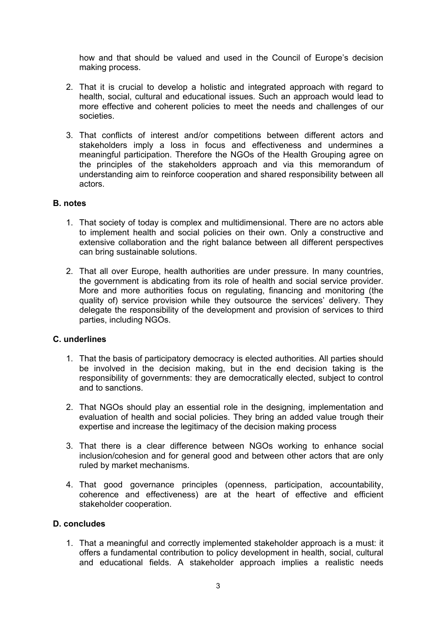how and that should be valued and used in the Council of Europe's decision making process.

- 2. That it is crucial to develop a holistic and integrated approach with regard to health, social, cultural and educational issues. Such an approach would lead to more effective and coherent policies to meet the needs and challenges of our societies.
- 3. That conflicts of interest and/or competitions between different actors and stakeholders imply a loss in focus and effectiveness and undermines a meaningful participation. Therefore the NGOs of the Health Grouping agree on the principles of the stakeholders approach and via this memorandum of understanding aim to reinforce cooperation and shared responsibility between all actors.

## **B. notes**

- 1. That society of today is complex and multidimensional. There are no actors able to implement health and social policies on their own. Only a constructive and extensive collaboration and the right balance between all different perspectives can bring sustainable solutions.
- 2. That all over Europe, health authorities are under pressure. In many countries, the government is abdicating from its role of health and social service provider. More and more authorities focus on regulating, financing and monitoring (the quality of) service provision while they outsource the services' delivery. They delegate the responsibility of the development and provision of services to third parties, including NGOs.

#### **C. underlines**

- 1. That the basis of participatory democracy is elected authorities. All parties should be involved in the decision making, but in the end decision taking is the responsibility of governments: they are democratically elected, subject to control and to sanctions.
- 2. That NGOs should play an essential role in the designing, implementation and evaluation of health and social policies. They bring an added value trough their expertise and increase the legitimacy of the decision making process
- 3. That there is a clear difference between NGOs working to enhance social inclusion/cohesion and for general good and between other actors that are only ruled by market mechanisms.
- 4. That good governance principles (openness, participation, accountability, coherence and effectiveness) are at the heart of effective and efficient stakeholder cooperation.

#### **D. concludes**

1. That a meaningful and correctly implemented stakeholder approach is a must: it offers a fundamental contribution to policy development in health, social, cultural and educational fields. A stakeholder approach implies a realistic needs